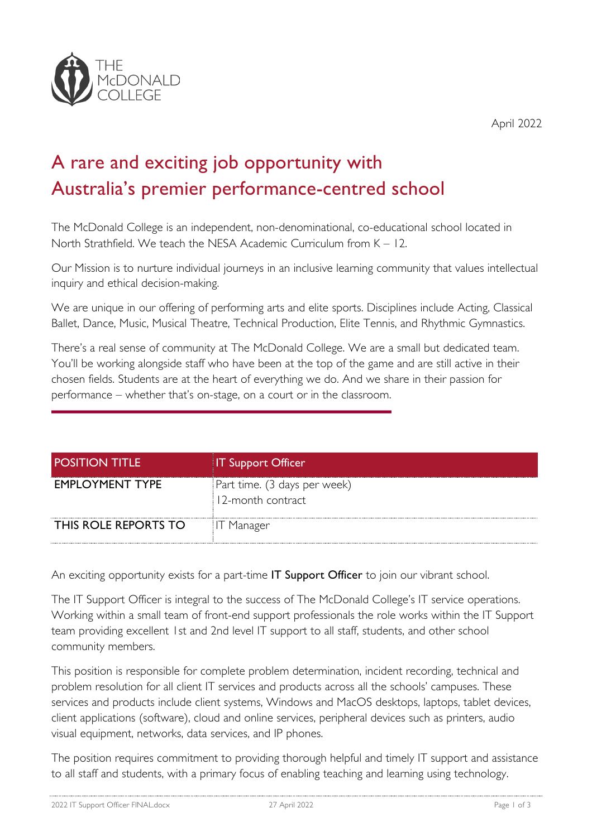

April 2022

## A rare and exciting job opportunity with Australia's premier performance-centred school

The McDonald College is an independent, non-denominational, co-educational school located in North Strathfield. We teach the NESA Academic Curriculum from K – 12.

Our Mission is to nurture individual journeys in an inclusive learning community that values intellectual inquiry and ethical decision-making.

We are unique in our offering of performing arts and elite sports. Disciplines include Acting, Classical Ballet, Dance, Music, Musical Theatre, Technical Production, Elite Tennis, and Rhythmic Gymnastics.

There's a real sense of community at The McDonald College. We are a small but dedicated team. You'll be working alongside staff who have been at the top of the game and are still active in their chosen fields. Students are at the heart of everything we do. And we share in their passion for performance – whether that's on-stage, on a court or in the classroom.

| <b>POSITION TITLE</b> | <b>IT Support Officer</b>                         |
|-----------------------|---------------------------------------------------|
| EMPLOYMENT TYPE       | Part time. (3 days per week)<br>12-month contract |
| THIS ROLE REPORTS TO  | - Manager                                         |

An exciting opportunity exists for a part-time IT Support Officer to join our vibrant school.

The IT Support Officer is integral to the success of The McDonald College's IT service operations. Working within a small team of front-end support professionals the role works within the IT Support team providing excellent 1st and 2nd level IT support to all staff, students, and other school community members.

This position is responsible for complete problem determination, incident recording, technical and problem resolution for all client IT services and products across all the schools' campuses. These services and products include client systems, Windows and MacOS desktops, laptops, tablet devices, client applications (software), cloud and online services, peripheral devices such as printers, audio visual equipment, networks, data services, and IP phones.

The position requires commitment to providing thorough helpful and timely IT support and assistance to all staff and students, with a primary focus of enabling teaching and learning using technology.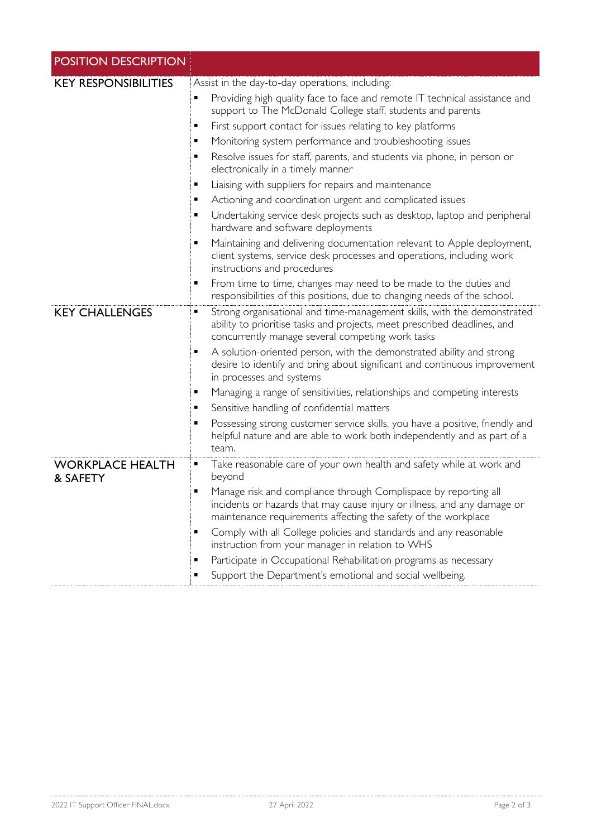| <b>POSITION DESCRIPTION</b>         |                                                                                                                                                                                                                                                                                                                                                                                                                                                                                                                                                                                                                                                                                                                                                                                              |
|-------------------------------------|----------------------------------------------------------------------------------------------------------------------------------------------------------------------------------------------------------------------------------------------------------------------------------------------------------------------------------------------------------------------------------------------------------------------------------------------------------------------------------------------------------------------------------------------------------------------------------------------------------------------------------------------------------------------------------------------------------------------------------------------------------------------------------------------|
| <b>KEY RESPONSIBILITIES</b>         | Assist in the day-to-day operations, including:<br>Providing high quality face to face and remote IT technical assistance and<br>٠<br>support to The McDonald College staff, students and parents<br>First support contact for issues relating to key platforms<br>٠<br>Monitoring system performance and troubleshooting issues<br>٠<br>Resolve issues for staff, parents, and students via phone, in person or<br>٠<br>electronically in a timely manner<br>Liaising with suppliers for repairs and maintenance<br>٠<br>Actioning and coordination urgent and complicated issues<br>٠<br>Undertaking service desk projects such as desktop, laptop and peripheral<br>٠<br>hardware and software deployments<br>Maintaining and delivering documentation relevant to Apple deployment,<br>٠ |
|                                     | client systems, service desk processes and operations, including work<br>instructions and procedures<br>From time to time, changes may need to be made to the duties and<br>٠<br>responsibilities of this positions, due to changing needs of the school.                                                                                                                                                                                                                                                                                                                                                                                                                                                                                                                                    |
| <b>KEY CHALLENGES</b>               | Strong organisational and time-management skills, with the demonstrated<br>٠<br>ability to prioritise tasks and projects, meet prescribed deadlines, and<br>concurrently manage several competing work tasks<br>A solution-oriented person, with the demonstrated ability and strong<br>٠<br>desire to identify and bring about significant and continuous improvement<br>in processes and systems<br>Managing a range of sensitivities, relationships and competing interests<br>٠                                                                                                                                                                                                                                                                                                          |
|                                     | Sensitive handling of confidential matters<br>٠<br>Possessing strong customer service skills, you have a positive, friendly and<br>٠<br>helpful nature and are able to work both independently and as part of a<br>team.                                                                                                                                                                                                                                                                                                                                                                                                                                                                                                                                                                     |
| <b>WORKPLACE HEALTH</b><br>& SAFETY | Take reasonable care of your own health and safety while at work and<br>٠<br>beyond<br>Manage risk and compliance through Complispace by reporting all<br>incidents or hazards that may cause injury or illness, and any damage or<br>maintenance requirements affecting the safety of the workplace<br>Comply with all College policies and standards and any reasonable<br>٠<br>instruction from your manager in relation to WHS<br>Participate in Occupational Rehabilitation programs as necessary<br>٠<br>Support the Department's emotional and social wellbeing.                                                                                                                                                                                                                      |